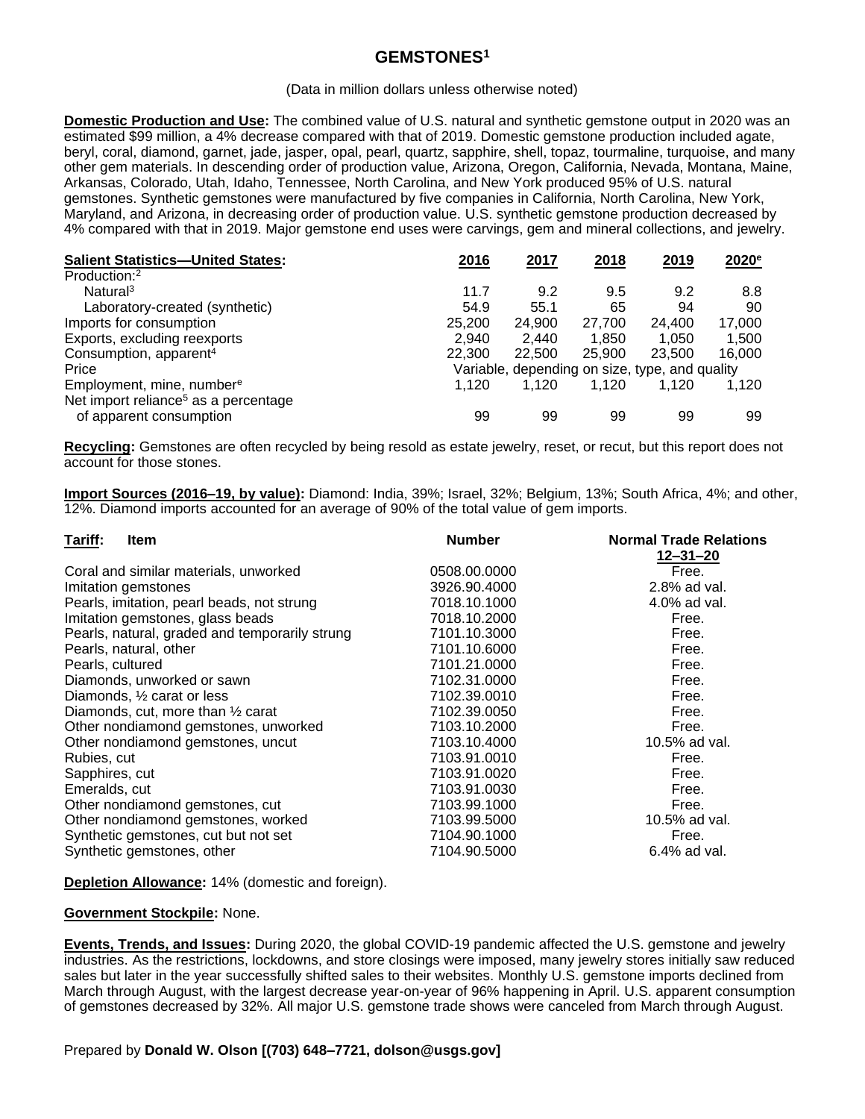## **GEMSTONES<sup>1</sup>**

(Data in million dollars unless otherwise noted)

**Domestic Production and Use:** The combined value of U.S. natural and synthetic gemstone output in 2020 was an estimated \$99 million, a 4% decrease compared with that of 2019. Domestic gemstone production included agate, beryl, coral, diamond, garnet, jade, jasper, opal, pearl, quartz, sapphire, shell, topaz, tourmaline, turquoise, and many other gem materials. In descending order of production value, Arizona, Oregon, California, Nevada, Montana, Maine, Arkansas, Colorado, Utah, Idaho, Tennessee, North Carolina, and New York produced 95% of U.S. natural gemstones. Synthetic gemstones were manufactured by five companies in California, North Carolina, New York, Maryland, and Arizona, in decreasing order of production value. U.S. synthetic gemstone production decreased by 4% compared with that in 2019. Major gemstone end uses were carvings, gem and mineral collections, and jewelry.

| <b>Salient Statistics-United States:</b>         | 2016                                           | 2017   | 2018   | 2019   | $2020^{\circ}$ |
|--------------------------------------------------|------------------------------------------------|--------|--------|--------|----------------|
| Production: <sup>2</sup>                         |                                                |        |        |        |                |
| Natural <sup>3</sup>                             | 11.7                                           | 9.2    | 9.5    | 9.2    | 8.8            |
| Laboratory-created (synthetic)                   | 54.9                                           | 55.1   | 65     | 94     | 90             |
| Imports for consumption                          | 25,200                                         | 24.900 | 27.700 | 24.400 | 17,000         |
| Exports, excluding reexports                     | 2.940                                          | 2.440  | 1.850  | 1.050  | 1,500          |
| Consumption, apparent <sup>4</sup>               | 22,300                                         | 22,500 | 25,900 | 23,500 | 16,000         |
| Price                                            | Variable, depending on size, type, and quality |        |        |        |                |
| Employment, mine, number <sup>e</sup>            | 1.120                                          | 1.120  | 1.120  | 1.120  | 1.120          |
| Net import reliance <sup>5</sup> as a percentage |                                                |        |        |        |                |
| of apparent consumption                          | 99                                             | 99     | 99     | 99     | 99             |

**Recycling:** Gemstones are often recycled by being resold as estate jewelry, reset, or recut, but this report does not account for those stones.

**Import Sources (2016–19, by value):** Diamond: India, 39%; Israel, 32%; Belgium, 13%; South Africa, 4%; and other, 12%. Diamond imports accounted for an average of 90% of the total value of gem imports.

| Tariff:<br><b>Item</b>                         | <b>Number</b> | <b>Normal Trade Relations</b> |
|------------------------------------------------|---------------|-------------------------------|
|                                                |               | $12 - 31 - 20$                |
| Coral and similar materials, unworked          | 0508.00.0000  | Free.                         |
| Imitation gemstones                            | 3926.90.4000  | 2.8% ad val.                  |
| Pearls, imitation, pearl beads, not strung     | 7018.10.1000  | 4.0% ad val.                  |
| Imitation gemstones, glass beads               | 7018.10.2000  | Free.                         |
| Pearls, natural, graded and temporarily strung | 7101.10.3000  | Free.                         |
| Pearls, natural, other                         | 7101.10.6000  | Free.                         |
| Pearls, cultured                               | 7101.21.0000  | Free.                         |
| Diamonds, unworked or sawn                     | 7102.31.0000  | Free.                         |
| Diamonds, $\frac{1}{2}$ carat or less          | 7102.39.0010  | Free.                         |
| Diamonds, cut, more than $\frac{1}{2}$ carat   | 7102.39.0050  | Free.                         |
| Other nondiamond gemstones, unworked           | 7103.10.2000  | Free.                         |
| Other nondiamond gemstones, uncut              | 7103.10.4000  | 10.5% ad val.                 |
| Rubies, cut                                    | 7103.91.0010  | Free.                         |
| Sapphires, cut                                 | 7103.91.0020  | Free.                         |
| Emeralds, cut                                  | 7103.91.0030  | Free.                         |
| Other nondiamond gemstones, cut                | 7103.99.1000  | Free.                         |
| Other nondiamond gemstones, worked             | 7103.99.5000  | 10.5% ad val.                 |
| Synthetic gemstones, cut but not set           | 7104.90.1000  | Free.                         |
| Synthetic gemstones, other                     | 7104.90.5000  | 6.4% ad val.                  |
|                                                |               |                               |

**Depletion Allowance:** 14% (domestic and foreign).

## **Government Stockpile:** None.

**Events, Trends, and Issues:** During 2020, the global COVID-19 pandemic affected the U.S. gemstone and jewelry industries. As the restrictions, lockdowns, and store closings were imposed, many jewelry stores initially saw reduced sales but later in the year successfully shifted sales to their websites. Monthly U.S. gemstone imports declined from March through August, with the largest decrease year-on-year of 96% happening in April. U.S. apparent consumption of gemstones decreased by 32%. All major U.S. gemstone trade shows were canceled from March through August.